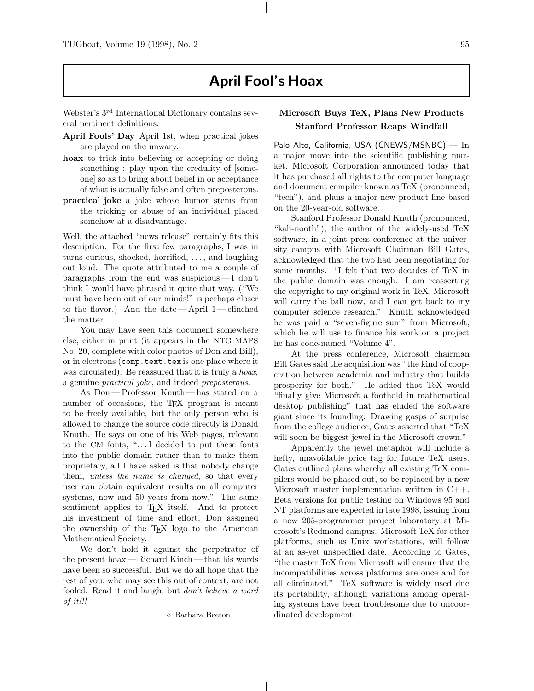## **April Fool's Hoax**

Webster's 3rd International Dictionary contains several pertinent definitions:

- **April Fools' Day** April 1st, when practical jokes are played on the unwary.
- **hoax** to trick into believing or accepting or doing something : play upon the credulity of [someone] so as to bring about belief in or acceptance of what is actually false and often preposterous.
- **practical joke** a joke whose humor stems from the tricking or abuse of an individual placed somehow at a disadvantage.

Well, the attached "news release" certainly fits this description. For the first few paragraphs, I was in turns curious, shocked, horrified, . . . , and laughing out loud. The quote attributed to me a couple of paragraphs from the end was suspicious— I don't think I would have phrased it quite that way. ("We must have been out of our minds!" is perhaps closer to the flavor.) And the date —April  $1$ —clinched the matter.

You may have seen this document somewhere else, either in print (it appears in the NTG MAPS No. 20, complete with color photos of Don and Bill), or in electrons (comp.text.tex is one place where it was circulated). Be reassured that it is truly a *hoax*, a genuine practical joke, and indeed preposterous.

As Don —Professor Knuth — has stated on a number of occasions, the TEX program is meant to be freely available, but the only person who is allowed to change the source code directly is Donald Knuth. He says on one of his Web pages, relevant to the CM fonts, ".. . I decided to put these fonts into the public domain rather than to make them proprietary, all I have asked is that nobody change them, unless the name is changed, so that every user can obtain equivalent results on all computer systems, now and 50 years from now." The same sentiment applies to T<sub>E</sub>X itself. And to protect his investment of time and effort, Don assigned the ownership of the TEX logo to the American Mathematical Society.

We don't hold it against the perpetrator of the present hoax—Richard Kinch— that his words have been so successful. But we do all hope that the rest of you, who may see this out of context, are not fooled. Read it and laugh, but don't believe a word of it!!!

Barbara Beeton

## **Microsoft Buys TeX, Plans New Products Stanford Professor Reaps Windfall**

Palo Alto, California, USA (CNEWS/MSNBC) — In a major move into the scientific publishing market, Microsoft Corporation announced today that it has purchased all rights to the computer language and document compiler known as TeX (pronounced, "tech"), and plans a major new product line based on the 20-year-old software.

Stanford Professor Donald Knuth (pronounced, "kah-nooth"), the author of the widely-used TeX software, in a joint press conference at the university campus with Microsoft Chairman Bill Gates, acknowledged that the two had been negotiating for some months. "I felt that two decades of TeX in the public domain was enough. I am reasserting the copyright to my original work in TeX. Microsoft will carry the ball now, and I can get back to my computer science research." Knuth acknowledged he was paid a "seven-figure sum" from Microsoft, which he will use to finance his work on a project he has code-named "Volume 4".

At the press conference, Microsoft chairman Bill Gates said the acquisition was "the kind of cooperation between academia and industry that builds prosperity for both." He added that TeX would "finally give Microsoft a foothold in mathematical desktop publishing" that has eluded the software giant since its founding. Drawing gasps of surprise from the college audience, Gates asserted that "TeX will soon be biggest jewel in the Microsoft crown."

Apparently the jewel metaphor will include a hefty, unavoidable price tag for future TeX users. Gates outlined plans whereby all existing TeX compilers would be phased out, to be replaced by a new Microsoft master implementation written in C++. Beta versions for public testing on Windows 95 and NT platforms are expected in late 1998, issuing from a new 205-programmer project laboratory at Microsoft's Redmond campus. Microsoft TeX for other platforms, such as Unix workstations, will follow at an as-yet unspecified date. According to Gates, "the master TeX from Microsoft will ensure that the incompatibilities across platforms are once and for all eliminated." TeX software is widely used due its portability, although variations among operating systems have been troublesome due to uncoordinated development.